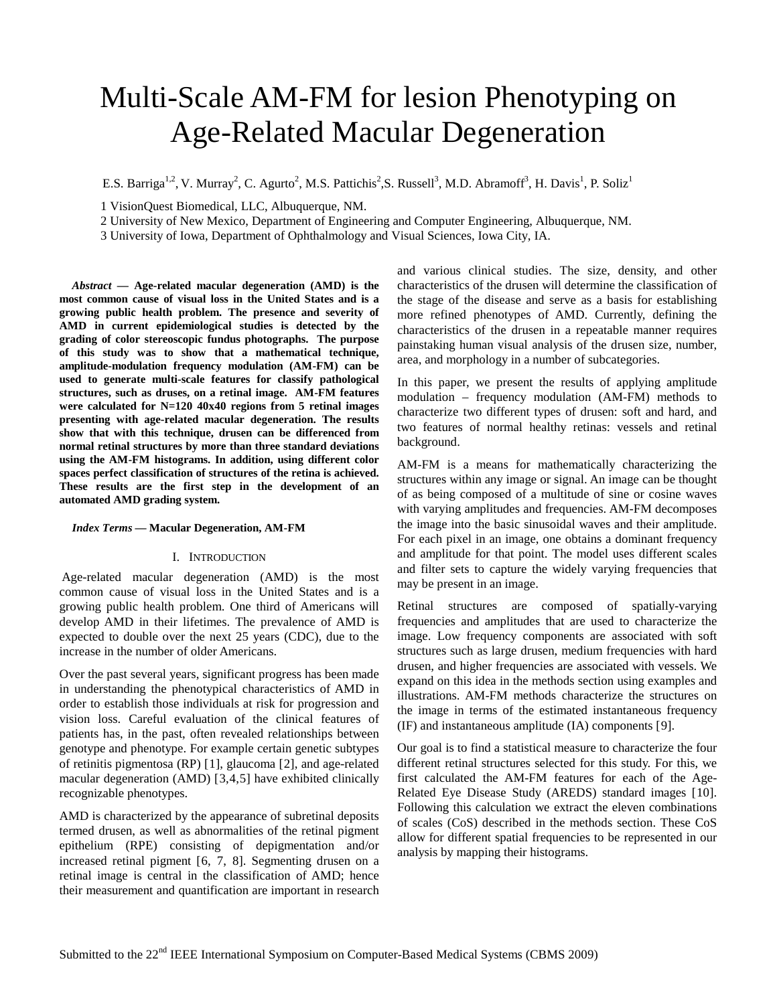# Multi-Scale AM-FM for lesion Phenotyping on Age-Related Macular Degeneration

E.S. Barriga<sup>1,2</sup>, V. Murray<sup>2</sup>, C. Agurto<sup>2</sup>, M.S. Pattichis<sup>2</sup>, S. Russell<sup>3</sup>, M.D. Abramoff<sup>3</sup>, H. Davis<sup>1</sup>, P. Soliz<sup>1</sup>

1 VisionQuest Biomedical, LLC, Albuquerque, NM.

2 University of New Mexico, Department of Engineering and Computer Engineering, Albuquerque, NM.

3 University of Iowa, Department of Ophthalmology and Visual Sciences, Iowa City, IA.

*Abstract* **— Age-related macular degeneration (AMD) is the most common cause of visual loss in the United States and is a growing public health problem. The presence and severity of AMD in current epidemiological studies is detected by the grading of color stereoscopic fundus photographs. The purpose of this study was to show that a mathematical technique, amplitude-modulation frequency modulation (AM-FM) can be used to generate multi-scale features for classify pathological structures, such as druses, on a retinal image. AM-FM features were calculated for N=120 40x40 regions from 5 retinal images presenting with age-related macular degeneration. The results show that with this technique, drusen can be differenced from normal retinal structures by more than three standard deviations using the AM-FM histograms. In addition, using different color spaces perfect classification of structures of the retina is achieved. These results are the first step in the development of an automated AMD grading system.**

#### *Index Terms* **— Macular Degeneration, AM-FM**

#### I. INTRODUCTION

Age-related macular degeneration (AMD) is the most common cause of visual loss in the United States and is a growing public health problem. One third of Americans will develop AMD in their lifetimes. The prevalence of AMD is expected to double over the next 25 years (CDC), due to the increase in the number of older Americans.

Over the past several years, significant progress has been made in understanding the phenotypical characteristics of AMD in order to establish those individuals at risk for progression and vision loss. Careful evaluation of the clinical features of patients has, in the past, often revealed relationships between genotype and phenotype. For example certain genetic subtypes of retinitis pigmentosa (RP) [[1](#page-4-0)], glaucoma [[2\]](#page-4-1), and age-related macular degeneration (AMD) [[3,](#page-4-2)[4](#page-4-3),[5](#page-4-4) ] have exhibited clinically recognizable phenotypes.

AMD is characterized by the appearance of subretinal deposits termed drusen, as well as abnormalities of the retinal pigment epithelium (RPE) consisting of depigmentation and/or increased retinal pigment [ [6,](#page-4-5) [7](#page-4-6), [8](#page-4-7)]. Segmenting drusen on a retinal image is central in the classification of AMD; hence their measurement and quantification are important in research

and various clinical studies. The size, density, and other characteristics of the drusen will determine the classification of the stage of the disease and serve as a basis for establishing more refined phenotypes of AMD. Currently, defining the characteristics of the drusen in a repeatable manner requires painstaking human visual analysis of the drusen size, number, area, and morphology in a number of subcategories.

In this paper, we present the results of applying amplitude modulation – frequency modulation (AM-FM) methods to characterize two different types of drusen: soft and hard, and two features of normal healthy retinas: vessels and retinal background.

AM-FM is a means for mathematically characterizing the structures within any image or signal. An image can be thought of as being composed of a multitude of sine or cosine waves with varying amplitudes and frequencies. AM-FM decomposes the image into the basic sinusoidal waves and their amplitude. For each pixel in an image, one obtains a dominant frequency and amplitude for that point. The model uses different scales and filter sets to capture the widely varying frequencies that may be present in an image.

Retinal structures are composed of spatially-varying frequencies and amplitudes that are used to characterize the image. Low frequency components are associated with soft structures such as large drusen, medium frequencies with hard drusen, and higher frequencies are associated with vessels. We expand on this idea in the methods section using examples and illustrations. AM-FM methods characterize the structures on the image in terms of the estimated instantaneous frequency (IF) and instantaneous amplitude (IA) components [[9](#page-4-8) ].

Our goal is to find a statistical measure to characterize the four different retinal structures selected for this study. For this, we first calculated the AM-FM features for each of the Age-Related Eye Disease Study (AREDS) standard images [ [10](#page-4-9) ]. Following this calculation we extract the eleven combinations of scales (CoS) described in the methods section. These CoS allow for different spatial frequencies to be represented in our analysis by mapping their histograms.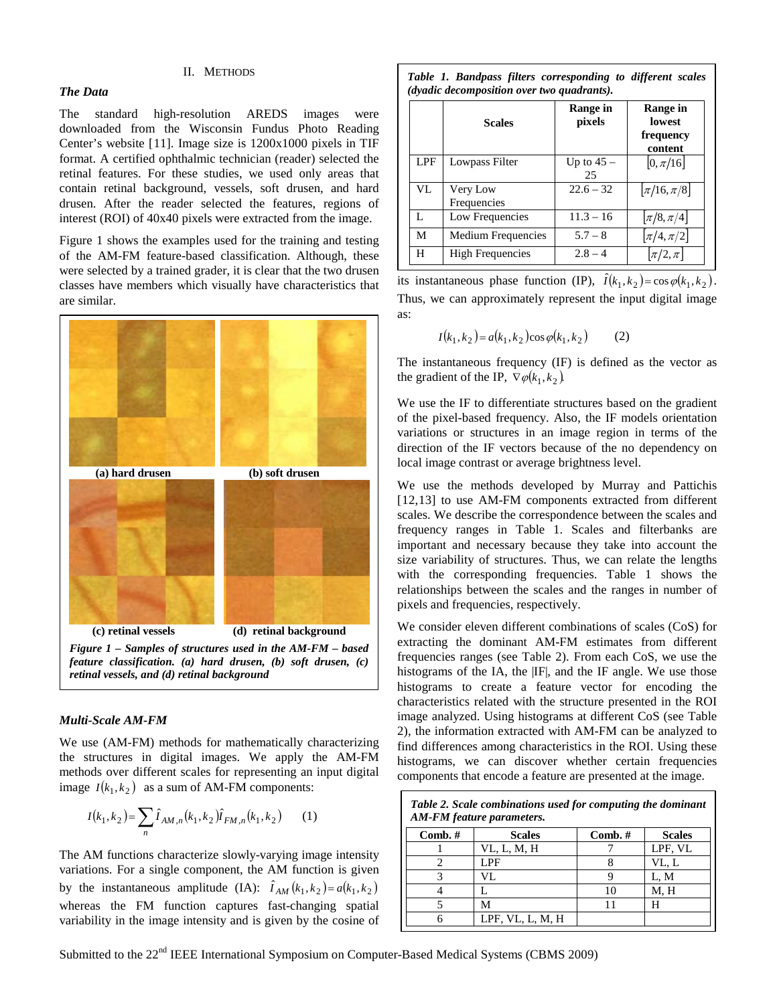### II. METHODS

# *The Data*

The standard high-resolution AREDS images were downloaded from the Wisconsin Fundus Photo Reading Center's website [[11](#page-4-10) ]. Image size is 1200x1000 pixels in TIF format. A certified ophthalmic technician (reader) selected the retinal features. For these studies, we used only areas that contain retinal background, vessels, soft drusen, and hard drusen. After the reader selected the features, regions of interest (ROI) of 40x40 pixels were extracted from the image.

Figure 1 shows the examples used for the training and testing of the AM-FM feature-based classification. Although, these were selected by a trained grader, it is clear that the two drusen classes have members which visually have characteristics that are similar.



#### *Multi-Scale AM-FM*

We use (AM-FM) methods for mathematically characterizing the structures in digital images. We apply the AM-FM methods over different scales for representing an input digital image  $I(k_1, k_2)$  as a sum of AM-FM components:

$$
I(k_1, k_2) = \sum_{n} \hat{I}_{AM,n}(k_1, k_2) \hat{I}_{FM,n}(k_1, k_2)
$$
 (1)

The AM functions characterize slowly-varying image intensity variations. For a single component, the AM function is given by the instantaneous amplitude (IA):  $\hat{I}_{AM}(k_1, k_2) = a(k_1, k_2)$ whereas the FM function captures fast-changing spatial variability in the image intensity and is given by the cosine of

*Table 1. Bandpass filters corresponding to different scales (dyadic decomposition over two quadrants).*

|     | <b>Scales</b>           | <b>Range in</b><br>pixels | Range in<br><b>lowest</b><br>frequency<br>content |
|-----|-------------------------|---------------------------|---------------------------------------------------|
| LPF | Lowpass Filter          | Up to $45 -$<br>25        | $ 0, \pi/16 $                                     |
| VL  | Very Low<br>Frequencies | $22.6 - 32$               | $\left \pi/16,\pi/8\right $                       |
| L   | Low Frequencies         | $11.3 - 16$               | $\left \pi/8,\pi/4\right $                        |
| M   | Medium Frequencies      | $5.7 - 8$                 | $ \pi/4,\pi/2 $                                   |
| H   | <b>High Frequencies</b> | $2.8 - 4$                 | $ \pi/2,\pi $                                     |

its instantaneous phase function (IP),  $\hat{I}(k_1, k_2) = \cos \varphi(k_1, k_2)$ . Thus, we can approximately represent the input digital image as:

$$
I(k_1, k_2) = a(k_1, k_2) \cos \varphi(k_1, k_2)
$$
 (2)

The instantaneous frequency (IF) is defined as the vector as the gradient of the IP,  $\nabla \varphi(k_1, k_2)$ .

We use the IF to differentiate structures based on the gradient of the pixel-based frequency. Also, the IF models orientation variations or structures in an image region in terms of the direction of the IF vectors because of the no dependency on local image contrast or average brightness level.

<span id="page-1-0"></span>We use the methods developed by Murray and Pattichis [[12](#page-4-11),[13](#page-4-12)] to use AM-FM components extracted from different scales. We describe the correspondence between the scales and frequency ranges in Table 1. Scales and filterbanks are important and necessary because they take into account the size variability of structures. Thus, we can relate the lengths with the corresponding frequencies. Table 1 shows the relationships between the scales and the ranges in number of pixels and frequencies, respectively.

We consider eleven different combinations of scales (CoS) for extracting the dominant AM-FM estimates from different frequencies ranges (see Table 2). From each CoS, we use the histograms of the IA, the |IF|, and the IF angle. We use those histograms to create a feature vector for encoding the characteristics related with the structure presented in the ROI image analyzed. Using histograms at different CoS (see Table 2), the information extracted with AM-FM can be analyzed to find differences among characteristics in the ROI. Using these histograms, we can discover whether certain frequencies components that encode a feature are presented at the image.

| Table 2. Scale combinations used for computing the dominant<br>AM-FM feature parameters. |                  |            |               |  |
|------------------------------------------------------------------------------------------|------------------|------------|---------------|--|
| $Comb. \#$                                                                               | <b>Scales</b>    | $Comb. \#$ | <b>Scales</b> |  |
|                                                                                          | VL, L, M, H      |            | LPF, VL       |  |
|                                                                                          | LPF              |            | VL. L         |  |
|                                                                                          | VL.              |            | L, M          |  |
|                                                                                          |                  | 10         | M, H          |  |
|                                                                                          | м                |            |               |  |
|                                                                                          | LPF, VL, L, M, H |            |               |  |

Submitted to the 22<sup>nd</sup> IEEE International Symposium on Computer-Based Medical Systems (CBMS 2009)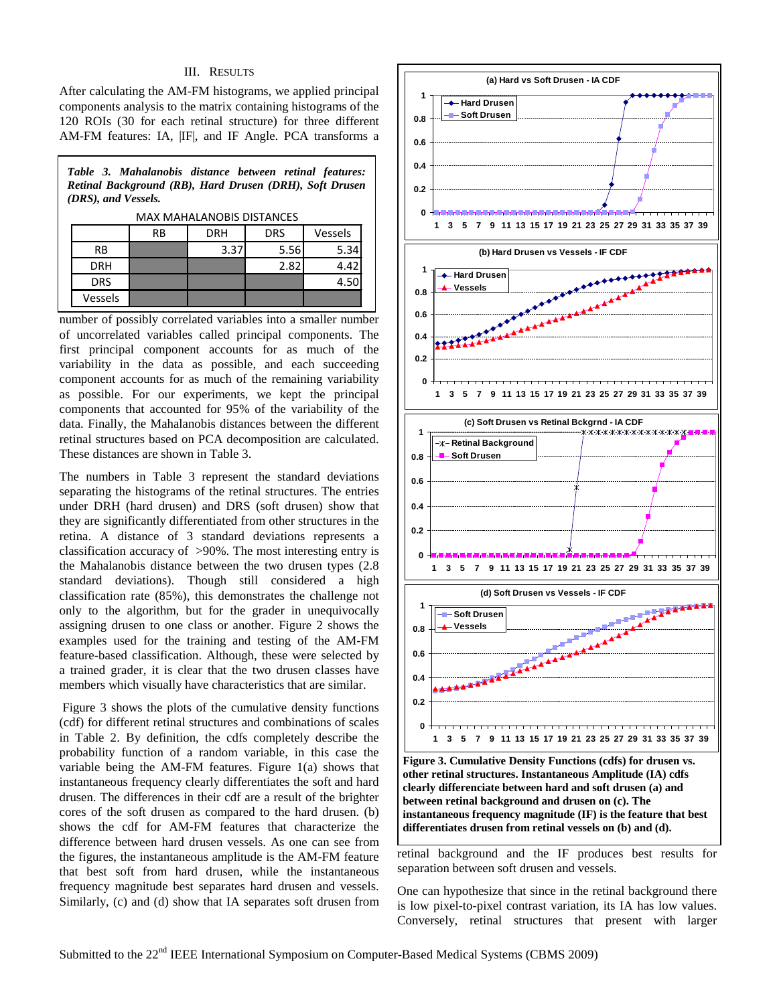## III. RESULTS

After calculating the AM-FM histograms, we applied principal components analysis to the matrix containing histograms of the 120 ROIs (30 for each retinal structure) for three different AM-FM features: IA, |IF|, and IF Angle. PCA transforms a

*Table 3. Mahalanobis distance between retinal features: Retinal Background (RB), Hard Drusen (DRH), Soft Drusen (DRS), and Vessels.*

MAX MAHALANOBIS DISTANCES

|            | <b>RB</b> | <b>DRH</b> | <b>DRS</b> | Vessels |
|------------|-----------|------------|------------|---------|
| RB         |           | 3.37       | 5.56       | 5.34    |
| <b>DRH</b> |           |            | 2.82       | 4.42    |
| <b>DRS</b> |           |            |            | 4.5C    |
| Vessels    |           |            |            |         |

number of possibly correlated variables into a smaller number of uncorrelated variables called principal components. The first principal component accounts for as much of the variability in the data as possible, and each succeeding component accounts for as much of the remaining variability as possible. For our experiments, we kept the principal components that accounted for 95% of the variability of the data. Finally, the Mahalanobis distances between the different retinal structures based on PCA decomposition are calculated. These distances are shown in Table 3.

The numbers in Table 3 represent the standard deviations separating the histograms of the retinal structures. The entries under DRH (hard drusen) and DRS (soft drusen) show that they are significantly differentiated from other structures in the retina. A distance of 3 standard deviations represents a classification accuracy of >90%. The most interesting entry is the Mahalanobis distance between the two drusen types (2.8 standard deviations). Though still considered a high classification rate (85%), this demonstrates the challenge not only to the algorithm, but for the grader in unequivocally assigning drusen to one class or another. Figure 2 shows the examples used for the training and testing of the AM-FM feature-based classification. Although, these were selected by a trained grader, it is clear that the two drusen classes have members which visually have characteristics that are similar.

Figure 3 shows the plots of the cumulative density functions (cdf) for different retinal structures and combinations of scales in Table 2. By definition, the cdfs completely describe the probability function of a random variable, in this case the variable being the AM-FM features. Figure 1(a) shows that instantaneous frequency clearly differentiates the soft and hard drusen. The differences in their cdf are a result of the brighter cores of the soft drusen as compared to the hard drusen. (b) shows the cdf for AM-FM features that characterize the difference between hard drusen vessels. As one can see from the figures, the instantaneous amplitude is the AM-FM feature that best soft from hard drusen, while the instantaneous frequency magnitude best separates hard drusen and vessels. Similarly, (c) and (d) show that IA separates soft drusen from



**Figure 3. Cumulative Density Functions (cdfs) for drusen vs. other retinal structures. Instantaneous Amplitude (IA) cdfs clearly differenciate between hard and soft drusen (a) and between retinal background and drusen on (c). The instantaneous frequency magnitude (IF) is the feature that best differentiates drusen from retinal vessels on (b) and (d).** 

retinal background and the IF produces best results for separation between soft drusen and vessels.

One can hypothesize that since in the retinal background there is low pixel-to-pixel contrast variation, its IA has low values. Conversely, retinal structures that present with larger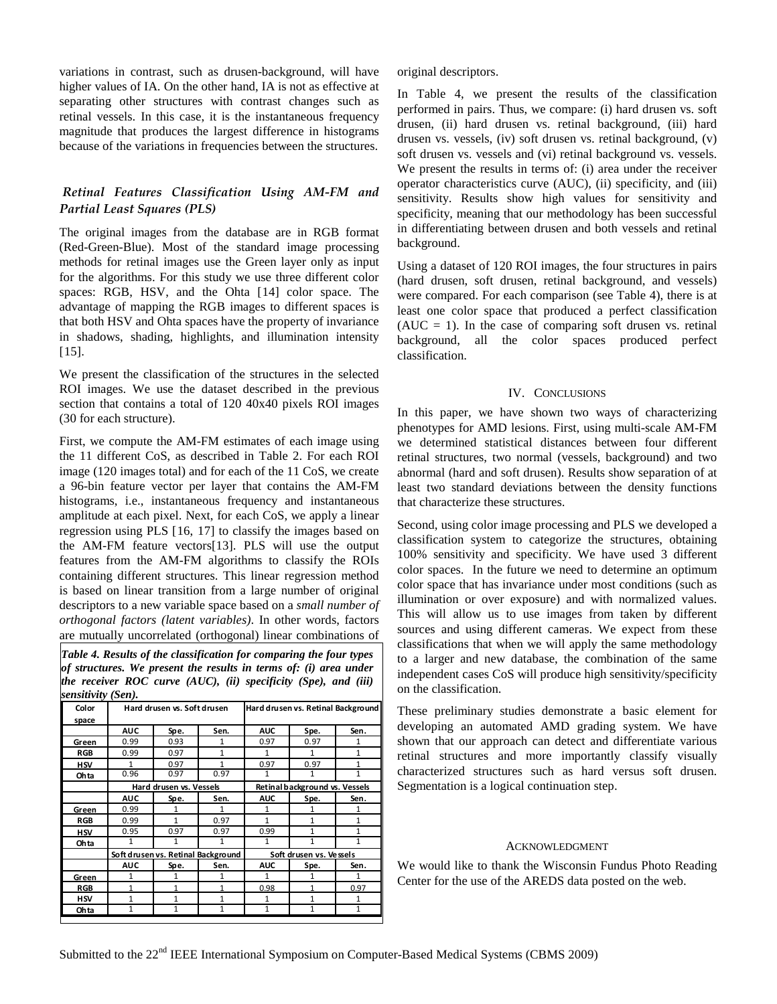variations in contrast, such as drusen-background, will have higher values of IA. On the other hand, IA is not as effective at separating other structures with contrast changes such as retinal vessels. In this case, it is the instantaneous frequency magnitude that produces the largest difference in histograms because of the variations in frequencies between the structures.

# *Retinal Features Classification Using AM-FM and Partial Least Squares (PLS)*

The original images from the database are in RGB format (Red-Green-Blue). Most of the standard image processing methods for retinal images use the Green layer only as input for the algorithms. For this study we use three different color spaces: RGB, HSV, and the Ohta [[14\]](#page-4-13) color space. The advantage of mapping the RGB images to different spaces is that both HSV and Ohta spaces have the property of invariance in shadows, shading, highlights, and illumination intensity [[15](#page-4-14) ].

We present the classification of the structures in the selected ROI images. We use the dataset described in the previous section that contains a total of 120 40x40 pixels ROI images (30 for each structure).

First, we compute the AM-FM estimates of each image using the 11 different CoS, as described in Table 2. For each ROI image (120 images total) and for each of the 11 CoS, we create a 96-bin feature vector per layer that contains the AM-FM histograms, i.e., instantaneous frequency and instantaneous amplitude at each pixel. Next, for each CoS, we apply a linear regression using PLS [ [16,](#page-4-15) [17](#page-4-16) ] to classify the images based on the AM-FM feature vectors[[13](#page-1-0)]. PLS will use the output features from the AM-FM algorithms to classify the ROIs containing different structures. This linear regression method is based on linear transition from a large number of original descriptors to a new variable space based on a *small number of orthogonal factors (latent variables)*. In other words, factors are mutually uncorrelated (orthogonal) linear combinations of

*Table 4. Results of the classification for comparing the four types of structures. We present the results in terms of: (i) area under the receiver ROC curve (AUC), (ii) specificity (Spe), and (iii) sensitivity (Sen).*

| Color      | Hard drusen vs. Soft drusen<br>Hard drusen vs. Retinal Background |              |                                |              |      |              |
|------------|-------------------------------------------------------------------|--------------|--------------------------------|--------------|------|--------------|
| space      |                                                                   |              |                                |              |      |              |
|            | <b>AUC</b>                                                        | Spe.         | Sen.                           | <b>AUC</b>   | Spe. | Sen.         |
| Green      | 0.99                                                              | 0.93         | 1                              | 0.97         | 0.97 | 1            |
| <b>RGB</b> | 0.99                                                              | 0.97         | $\mathbf{1}$                   | 1            | 1    | 1            |
| <b>HSV</b> | 1                                                                 | 0.97         | 1                              | 0.97         | 0.97 | 1            |
| Ohta       | 0.96                                                              | 0.97         | 0.97                           | 1            |      | $\mathbf{1}$ |
|            | Hard drusen vs. Vessels                                           |              | Retinal background vs. Vessels |              |      |              |
|            | <b>AUC</b>                                                        | Spe.         | Sen.                           | <b>AUC</b>   | Spe. | Sen.         |
| Green      | 0.99                                                              | 1            | 1                              | 1            |      | 1            |
| <b>RGB</b> | 0.99                                                              | 1            | 0.97                           | 1            |      | 1            |
| <b>HSV</b> | 0.95                                                              | 0.97         | 0.97                           | 0.99         | 1    | $\mathbf{1}$ |
| Ohta       | 1                                                                 | 1            | 1                              | 1            | 1    | $\mathbf{1}$ |
|            | Soft drusen vs. Retinal Background                                |              | Soft drusen vs. Vessels        |              |      |              |
|            | <b>AUC</b>                                                        | Spe.         | Sen.                           | <b>AUC</b>   | Spe. | Sen.         |
| Green      | 1                                                                 | 1            | $\mathbf{1}$                   | 1            | 1    | $\mathbf{1}$ |
| <b>RGB</b> | $\mathbf{1}$                                                      |              |                                | 0.98         |      | 0.97         |
| <b>HSV</b> | $\mathbf{1}$                                                      | 1            | 1                              | 1            |      | 1            |
| Ohta       | $\mathbf{1}$                                                      | $\mathbf{1}$ | 1                              | $\mathbf{1}$ | 1    | $\mathbf{1}$ |

original descriptors.

In Table 4, we present the results of the classification performed in pairs. Thus, we compare: (i) hard drusen vs. soft drusen, (ii) hard drusen vs. retinal background, (iii) hard drusen vs. vessels, (iv) soft drusen vs. retinal background, (v) soft drusen vs. vessels and (vi) retinal background vs. vessels. We present the results in terms of: (i) area under the receiver operator characteristics curve (AUC), (ii) specificity, and (iii) sensitivity. Results show high values for sensitivity and specificity, meaning that our methodology has been successful in differentiating between drusen and both vessels and retinal background.

Using a dataset of 120 ROI images, the four structures in pairs (hard drusen, soft drusen, retinal background, and vessels) were compared. For each comparison (see Table 4), there is at least one color space that produced a perfect classification  $(AUC = 1)$ . In the case of comparing soft drusen vs. retinal background, all the color spaces produced perfect classification.

# IV. CONCLUSIONS

In this paper, we have shown two ways of characterizing phenotypes for AMD lesions. First, using multi-scale AM-FM we determined statistical distances between four different retinal structures, two normal (vessels, background) and two abnormal (hard and soft drusen). Results show separation of at least two standard deviations between the density functions that characterize these structures.

Second, using color image processing and PLS we developed a classification system to categorize the structures, obtaining 100% sensitivity and specificity. We have used 3 different color spaces. In the future we need to determine an optimum color space that has invariance under most conditions (such as illumination or over exposure) and with normalized values. This will allow us to use images from taken by different sources and using different cameras. We expect from these classifications that when we will apply the same methodology to a larger and new database, the combination of the same independent cases CoS will produce high sensitivity/specificity on the classification.

These preliminary studies demonstrate a basic element for developing an automated AMD grading system. We have shown that our approach can detect and differentiate various retinal structures and more importantly classify visually characterized structures such as hard versus soft drusen. Segmentation is a logical continuation step.

## ACKNOWLEDGMENT

We would like to thank the Wisconsin Fundus Photo Reading Center for the use of the AREDS data posted on the web.